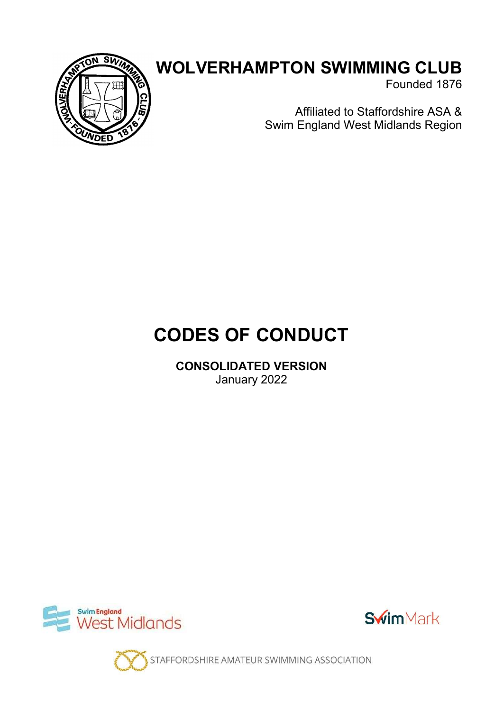

# WOLVERHAMPTON SWIMMING CLUB

Founded 1876

Affiliated to Staffordshire ASA & Swim England West Midlands Region

# CODES OF CONDUCT

CONSOLIDATED VERSION January 2022





STAFFORDSHIRE AMATEUR SWIMMING ASSOCIATION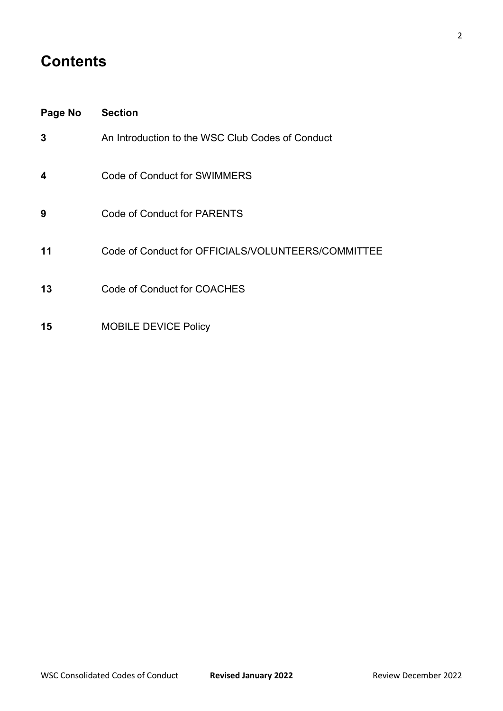# **Contents**

| Page No | <b>Section</b>                                     |
|---------|----------------------------------------------------|
| 3       | An Introduction to the WSC Club Codes of Conduct   |
| 4       | Code of Conduct for SWIMMERS                       |
| 9       | Code of Conduct for PARENTS                        |
| 11      | Code of Conduct for OFFICIALS/VOLUNTEERS/COMMITTEE |
| 13      | Code of Conduct for COACHES                        |
| 15      | <b>MOBILE DEVICE Policy</b>                        |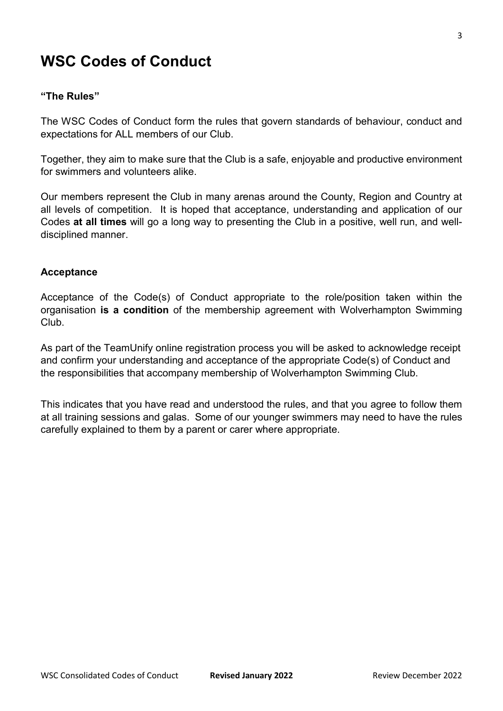# WSC Codes of Conduct

#### "The Rules"

The WSC Codes of Conduct form the rules that govern standards of behaviour, conduct and expectations for ALL members of our Club.

Together, they aim to make sure that the Club is a safe, enjoyable and productive environment for swimmers and volunteers alike.

Our members represent the Club in many arenas around the County, Region and Country at all levels of competition. It is hoped that acceptance, understanding and application of our Codes at all times will go a long way to presenting the Club in a positive, well run, and welldisciplined manner.

#### Acceptance

Acceptance of the Code(s) of Conduct appropriate to the role/position taken within the organisation is a condition of the membership agreement with Wolverhampton Swimming Club.

As part of the TeamUnify online registration process you will be asked to acknowledge receipt and confirm your understanding and acceptance of the appropriate Code(s) of Conduct and the responsibilities that accompany membership of Wolverhampton Swimming Club.

This indicates that you have read and understood the rules, and that you agree to follow them at all training sessions and galas. Some of our younger swimmers may need to have the rules carefully explained to them by a parent or carer where appropriate.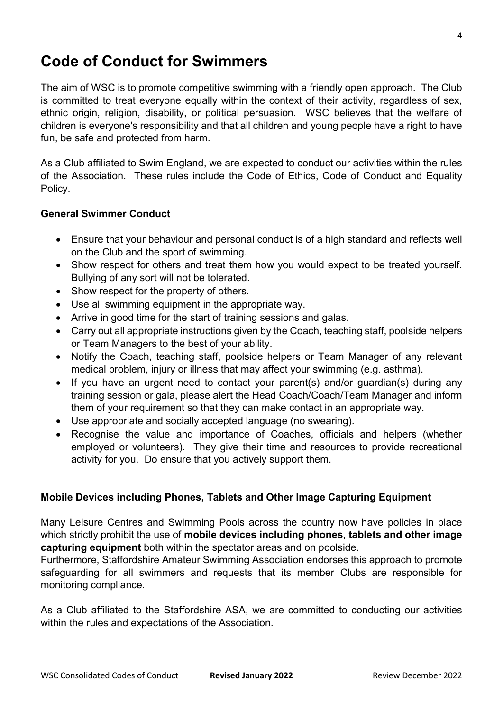# Code of Conduct for Swimmers

The aim of WSC is to promote competitive swimming with a friendly open approach. The Club is committed to treat everyone equally within the context of their activity, regardless of sex, ethnic origin, religion, disability, or political persuasion. WSC believes that the welfare of children is everyone's responsibility and that all children and young people have a right to have fun, be safe and protected from harm.

As a Club affiliated to Swim England, we are expected to conduct our activities within the rules of the Association. These rules include the Code of Ethics, Code of Conduct and Equality Policy.

### General Swimmer Conduct

- Ensure that your behaviour and personal conduct is of a high standard and reflects well on the Club and the sport of swimming.
- Show respect for others and treat them how you would expect to be treated yourself. Bullying of any sort will not be tolerated.
- Show respect for the property of others.
- Use all swimming equipment in the appropriate way.
- Arrive in good time for the start of training sessions and galas.
- Carry out all appropriate instructions given by the Coach, teaching staff, poolside helpers or Team Managers to the best of your ability.
- Notify the Coach, teaching staff, poolside helpers or Team Manager of any relevant medical problem, injury or illness that may affect your swimming (e.g. asthma).
- If you have an urgent need to contact your parent(s) and/or guardian(s) during any training session or gala, please alert the Head Coach/Coach/Team Manager and inform them of your requirement so that they can make contact in an appropriate way.
- Use appropriate and socially accepted language (no swearing).
- Recognise the value and importance of Coaches, officials and helpers (whether employed or volunteers). They give their time and resources to provide recreational activity for you. Do ensure that you actively support them.

#### Mobile Devices including Phones, Tablets and Other Image Capturing Equipment

Many Leisure Centres and Swimming Pools across the country now have policies in place which strictly prohibit the use of mobile devices including phones, tablets and other image capturing equipment both within the spectator areas and on poolside.

Furthermore, Staffordshire Amateur Swimming Association endorses this approach to promote safeguarding for all swimmers and requests that its member Clubs are responsible for monitoring compliance.

As a Club affiliated to the Staffordshire ASA, we are committed to conducting our activities within the rules and expectations of the Association.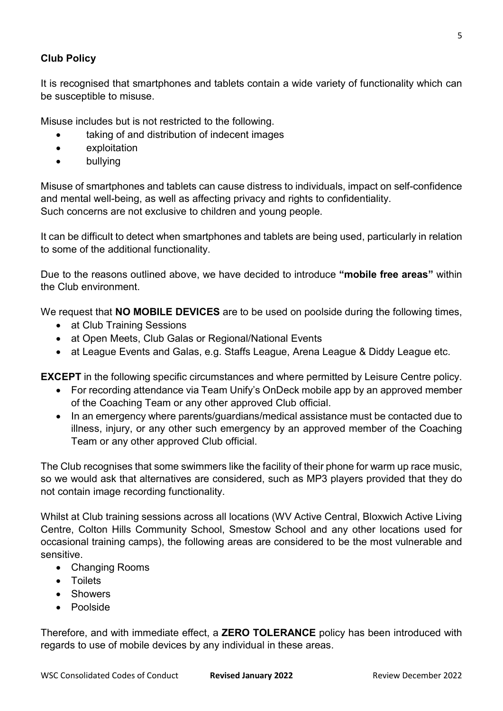### Club Policy

It is recognised that smartphones and tablets contain a wide variety of functionality which can be susceptible to misuse.

Misuse includes but is not restricted to the following.

- taking of and distribution of indecent images
- exploitation
- bullying

Misuse of smartphones and tablets can cause distress to individuals, impact on self-confidence and mental well-being, as well as affecting privacy and rights to confidentiality. Such concerns are not exclusive to children and young people.

It can be difficult to detect when smartphones and tablets are being used, particularly in relation to some of the additional functionality.

Due to the reasons outlined above, we have decided to introduce "mobile free areas" within the Club environment.

We request that **NO MOBILE DEVICES** are to be used on poolside during the following times,

- at Club Training Sessions
- at Open Meets, Club Galas or Regional/National Events
- at League Events and Galas, e.g. Staffs League, Arena League & Diddy League etc.

EXCEPT in the following specific circumstances and where permitted by Leisure Centre policy.

- For recording attendance via Team Unify's OnDeck mobile app by an approved member of the Coaching Team or any other approved Club official.
- In an emergency where parents/guardians/medical assistance must be contacted due to illness, injury, or any other such emergency by an approved member of the Coaching Team or any other approved Club official.

The Club recognises that some swimmers like the facility of their phone for warm up race music, so we would ask that alternatives are considered, such as MP3 players provided that they do not contain image recording functionality.

Whilst at Club training sessions across all locations (WV Active Central, Bloxwich Active Living Centre, Colton Hills Community School, Smestow School and any other locations used for occasional training camps), the following areas are considered to be the most vulnerable and sensitive.

- Changing Rooms
- Toilets
- Showers
- Poolside

Therefore, and with immediate effect, a ZERO TOLERANCE policy has been introduced with regards to use of mobile devices by any individual in these areas.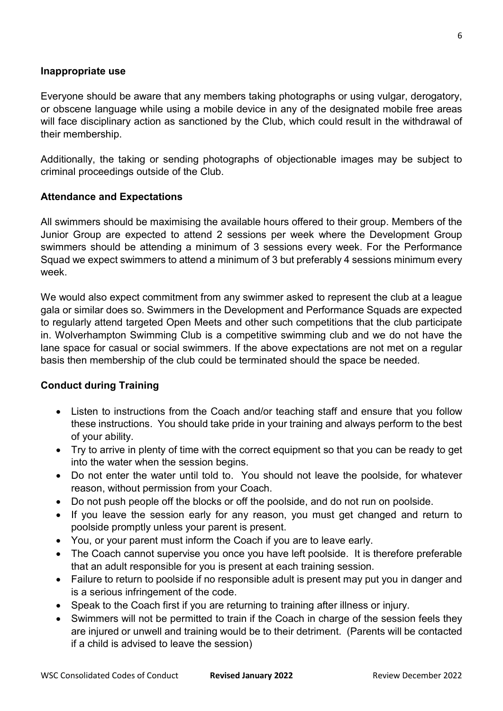#### Inappropriate use

Everyone should be aware that any members taking photographs or using vulgar, derogatory, or obscene language while using a mobile device in any of the designated mobile free areas will face disciplinary action as sanctioned by the Club, which could result in the withdrawal of their membership.

Additionally, the taking or sending photographs of objectionable images may be subject to criminal proceedings outside of the Club.

#### Attendance and Expectations

All swimmers should be maximising the available hours offered to their group. Members of the Junior Group are expected to attend 2 sessions per week where the Development Group swimmers should be attending a minimum of 3 sessions every week. For the Performance Squad we expect swimmers to attend a minimum of 3 but preferably 4 sessions minimum every week.

We would also expect commitment from any swimmer asked to represent the club at a league gala or similar does so. Swimmers in the Development and Performance Squads are expected to regularly attend targeted Open Meets and other such competitions that the club participate in. Wolverhampton Swimming Club is a competitive swimming club and we do not have the lane space for casual or social swimmers. If the above expectations are not met on a regular basis then membership of the club could be terminated should the space be needed.

#### Conduct during Training

- Listen to instructions from the Coach and/or teaching staff and ensure that you follow these instructions. You should take pride in your training and always perform to the best of your ability.
- Try to arrive in plenty of time with the correct equipment so that you can be ready to get into the water when the session begins.
- Do not enter the water until told to. You should not leave the poolside, for whatever reason, without permission from your Coach.
- Do not push people off the blocks or off the poolside, and do not run on poolside.
- If you leave the session early for any reason, you must get changed and return to poolside promptly unless your parent is present.
- You, or your parent must inform the Coach if you are to leave early.
- The Coach cannot supervise you once you have left poolside. It is therefore preferable that an adult responsible for you is present at each training session.
- Failure to return to poolside if no responsible adult is present may put you in danger and is a serious infringement of the code.
- Speak to the Coach first if you are returning to training after illness or injury.
- Swimmers will not be permitted to train if the Coach in charge of the session feels they are injured or unwell and training would be to their detriment. (Parents will be contacted if a child is advised to leave the session)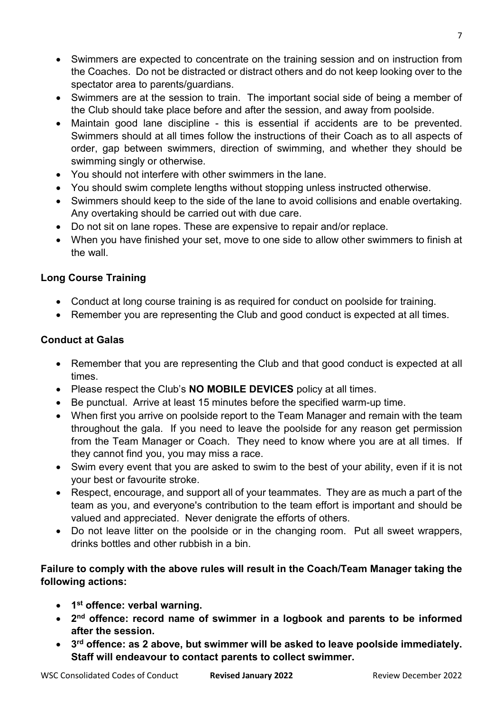- Swimmers are expected to concentrate on the training session and on instruction from the Coaches. Do not be distracted or distract others and do not keep looking over to the spectator area to parents/guardians.
- Swimmers are at the session to train. The important social side of being a member of the Club should take place before and after the session, and away from poolside.
- Maintain good lane discipline this is essential if accidents are to be prevented. Swimmers should at all times follow the instructions of their Coach as to all aspects of order, gap between swimmers, direction of swimming, and whether they should be swimming singly or otherwise.
- You should not interfere with other swimmers in the lane.
- You should swim complete lengths without stopping unless instructed otherwise.
- Swimmers should keep to the side of the lane to avoid collisions and enable overtaking. Any overtaking should be carried out with due care.
- Do not sit on lane ropes. These are expensive to repair and/or replace.
- When you have finished your set, move to one side to allow other swimmers to finish at the wall.

### Long Course Training

- Conduct at long course training is as required for conduct on poolside for training.
- Remember you are representing the Club and good conduct is expected at all times.

### Conduct at Galas

- Remember that you are representing the Club and that good conduct is expected at all times.
- Please respect the Club's **NO MOBILE DEVICES** policy at all times.
- Be punctual. Arrive at least 15 minutes before the specified warm-up time.
- When first you arrive on poolside report to the Team Manager and remain with the team throughout the gala. If you need to leave the poolside for any reason get permission from the Team Manager or Coach. They need to know where you are at all times. If they cannot find you, you may miss a race.
- Swim every event that you are asked to swim to the best of your ability, even if it is not your best or favourite stroke.
- Respect, encourage, and support all of your teammates. They are as much a part of the team as you, and everyone's contribution to the team effort is important and should be valued and appreciated. Never denigrate the efforts of others.
- Do not leave litter on the poolside or in the changing room. Put all sweet wrappers, drinks bottles and other rubbish in a bin.

### Failure to comply with the above rules will result in the Coach/Team Manager taking the following actions:

- 1<sup>st</sup> offence: verbal warning.
- 2<sup>nd</sup> offence: record name of swimmer in a logbook and parents to be informed after the session.
- 3<sup>rd</sup> offence: as 2 above, but swimmer will be asked to leave poolside immediately. Staff will endeavour to contact parents to collect swimmer.

7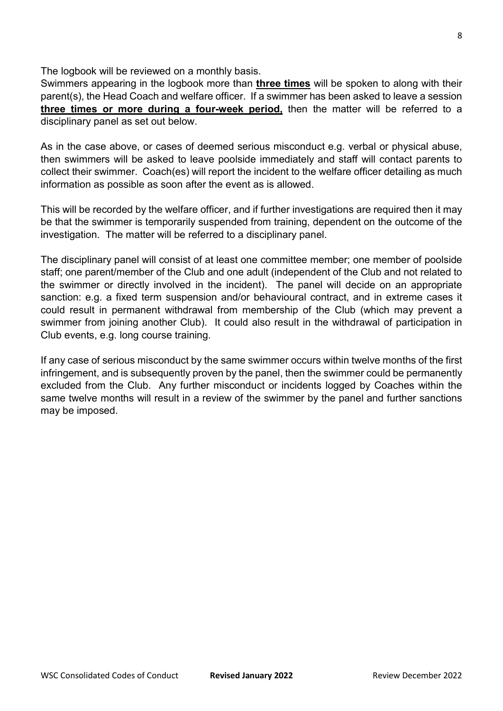The logbook will be reviewed on a monthly basis.

Swimmers appearing in the logbook more than **three times** will be spoken to along with their parent(s), the Head Coach and welfare officer. If a swimmer has been asked to leave a session three times or more during a four-week period, then the matter will be referred to a disciplinary panel as set out below.

As in the case above, or cases of deemed serious misconduct e.g. verbal or physical abuse, then swimmers will be asked to leave poolside immediately and staff will contact parents to collect their swimmer. Coach(es) will report the incident to the welfare officer detailing as much information as possible as soon after the event as is allowed.

This will be recorded by the welfare officer, and if further investigations are required then it may be that the swimmer is temporarily suspended from training, dependent on the outcome of the investigation. The matter will be referred to a disciplinary panel.

The disciplinary panel will consist of at least one committee member; one member of poolside staff; one parent/member of the Club and one adult (independent of the Club and not related to the swimmer or directly involved in the incident). The panel will decide on an appropriate sanction: e.g. a fixed term suspension and/or behavioural contract, and in extreme cases it could result in permanent withdrawal from membership of the Club (which may prevent a swimmer from joining another Club). It could also result in the withdrawal of participation in Club events, e.g. long course training.

If any case of serious misconduct by the same swimmer occurs within twelve months of the first infringement, and is subsequently proven by the panel, then the swimmer could be permanently excluded from the Club. Any further misconduct or incidents logged by Coaches within the same twelve months will result in a review of the swimmer by the panel and further sanctions may be imposed.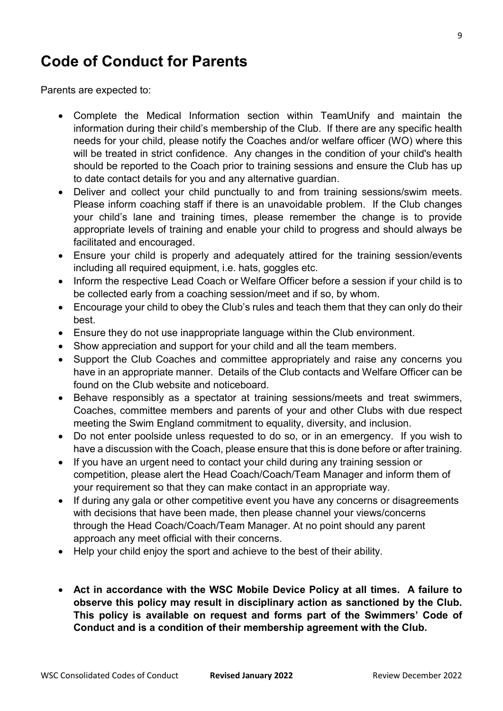# Code of Conduct for Parents

Parents are expected to:

- Complete the Medical Information section within TeamUnify and maintain the information during their child's membership of the Club. If there are any specific health needs for your child, please notify the Coaches and/or welfare officer (WO) where this will be treated in strict confidence. Any changes in the condition of your child's health should be reported to the Coach prior to training sessions and ensure the Club has up to date contact details for you and any alternative guardian.
- Deliver and collect your child punctually to and from training sessions/swim meets. Please inform coaching staff if there is an unavoidable problem. If the Club changes your child's lane and training times, please remember the change is to provide appropriate levels of training and enable your child to progress and should always be facilitated and encouraged.
- Ensure your child is properly and adequately attired for the training session/events including all required equipment, i.e. hats, goggles etc.
- Inform the respective Lead Coach or Welfare Officer before a session if your child is to be collected early from a coaching session/meet and if so, by whom.
- Encourage your child to obey the Club's rules and teach them that they can only do their best.
- Ensure they do not use inappropriate language within the Club environment.
- Show appreciation and support for your child and all the team members.
- Support the Club Coaches and committee appropriately and raise any concerns you have in an appropriate manner. Details of the Club contacts and Welfare Officer can be found on the Club website and noticeboard.
- Behave responsibly as a spectator at training sessions/meets and treat swimmers, Coaches, committee members and parents of your and other Clubs with due respect meeting the Swim England commitment to equality, diversity, and inclusion.
- Do not enter poolside unless requested to do so, or in an emergency. If you wish to have a discussion with the Coach, please ensure that this is done before or after training.
- If you have an urgent need to contact your child during any training session or competition, please alert the Head Coach/Coach/Team Manager and inform them of your requirement so that they can make contact in an appropriate way.
- If during any gala or other competitive event you have any concerns or disagreements with decisions that have been made, then please channel your views/concerns through the Head Coach/Coach/Team Manager. At no point should any parent approach any meet official with their concerns.
- Help your child enjoy the sport and achieve to the best of their ability.
- Act in accordance with the WSC Mobile Device Policy at all times. A failure to observe this policy may result in disciplinary action as sanctioned by the Club. This policy is available on request and forms part of the Swimmers' Code of Conduct and is a condition of their membership agreement with the Club.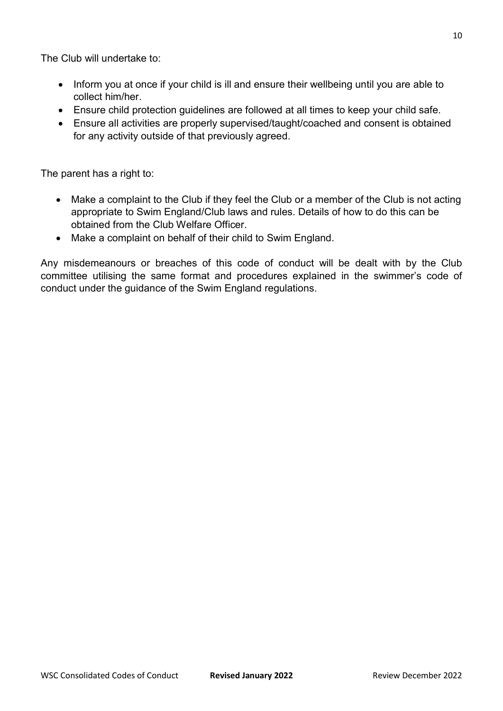The Club will undertake to:

- Inform you at once if your child is ill and ensure their wellbeing until you are able to collect him/her.
- Ensure child protection guidelines are followed at all times to keep your child safe.
- Ensure all activities are properly supervised/taught/coached and consent is obtained for any activity outside of that previously agreed.

The parent has a right to:

- Make a complaint to the Club if they feel the Club or a member of the Club is not acting appropriate to Swim England/Club laws and rules. Details of how to do this can be obtained from the Club Welfare Officer.
- Make a complaint on behalf of their child to Swim England.

Any misdemeanours or breaches of this code of conduct will be dealt with by the Club committee utilising the same format and procedures explained in the swimmer's code of conduct under the guidance of the Swim England regulations.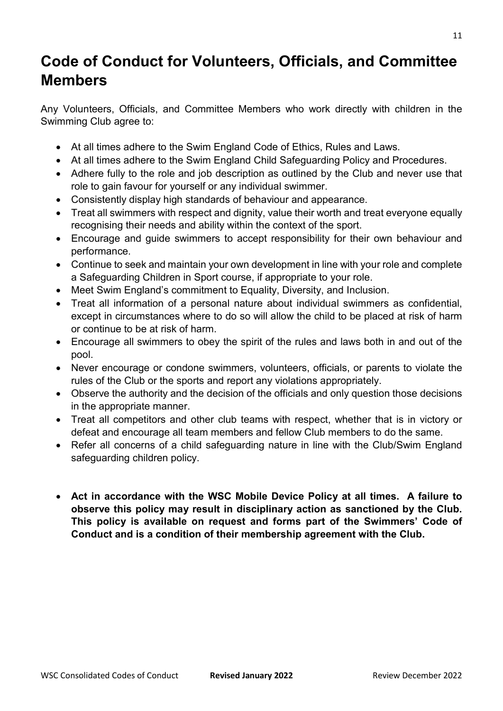# Code of Conduct for Volunteers, Officials, and Committee Members

Any Volunteers, Officials, and Committee Members who work directly with children in the Swimming Club agree to:

- At all times adhere to the Swim England Code of Ethics, Rules and Laws.
- At all times adhere to the Swim England Child Safeguarding Policy and Procedures.
- Adhere fully to the role and job description as outlined by the Club and never use that role to gain favour for yourself or any individual swimmer.
- Consistently display high standards of behaviour and appearance.
- Treat all swimmers with respect and dignity, value their worth and treat everyone equally recognising their needs and ability within the context of the sport.
- Encourage and guide swimmers to accept responsibility for their own behaviour and performance.
- Continue to seek and maintain your own development in line with your role and complete a Safeguarding Children in Sport course, if appropriate to your role.
- Meet Swim England's commitment to Equality, Diversity, and Inclusion.
- Treat all information of a personal nature about individual swimmers as confidential, except in circumstances where to do so will allow the child to be placed at risk of harm or continue to be at risk of harm.
- Encourage all swimmers to obey the spirit of the rules and laws both in and out of the pool.
- Never encourage or condone swimmers, volunteers, officials, or parents to violate the rules of the Club or the sports and report any violations appropriately.
- Observe the authority and the decision of the officials and only question those decisions in the appropriate manner.
- Treat all competitors and other club teams with respect, whether that is in victory or defeat and encourage all team members and fellow Club members to do the same.
- Refer all concerns of a child safeguarding nature in line with the Club/Swim England safeguarding children policy.
- Act in accordance with the WSC Mobile Device Policy at all times. A failure to observe this policy may result in disciplinary action as sanctioned by the Club. This policy is available on request and forms part of the Swimmers' Code of Conduct and is a condition of their membership agreement with the Club.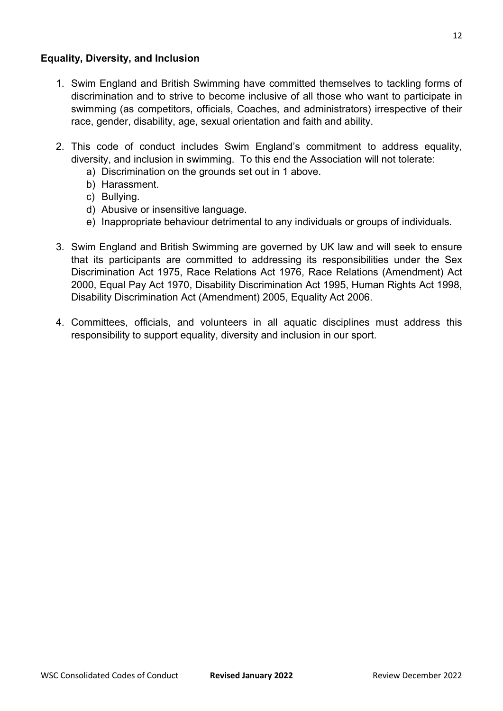### Equality, Diversity, and Inclusion

- 1. Swim England and British Swimming have committed themselves to tackling forms of discrimination and to strive to become inclusive of all those who want to participate in swimming (as competitors, officials, Coaches, and administrators) irrespective of their race, gender, disability, age, sexual orientation and faith and ability.
- 2. This code of conduct includes Swim England's commitment to address equality, diversity, and inclusion in swimming. To this end the Association will not tolerate:
	- a) Discrimination on the grounds set out in 1 above.
	- b) Harassment.
	- c) Bullying.
	- d) Abusive or insensitive language.
	- e) Inappropriate behaviour detrimental to any individuals or groups of individuals.
- 3. Swim England and British Swimming are governed by UK law and will seek to ensure that its participants are committed to addressing its responsibilities under the Sex Discrimination Act 1975, Race Relations Act 1976, Race Relations (Amendment) Act 2000, Equal Pay Act 1970, Disability Discrimination Act 1995, Human Rights Act 1998, Disability Discrimination Act (Amendment) 2005, Equality Act 2006.
- 4. Committees, officials, and volunteers in all aquatic disciplines must address this responsibility to support equality, diversity and inclusion in our sport.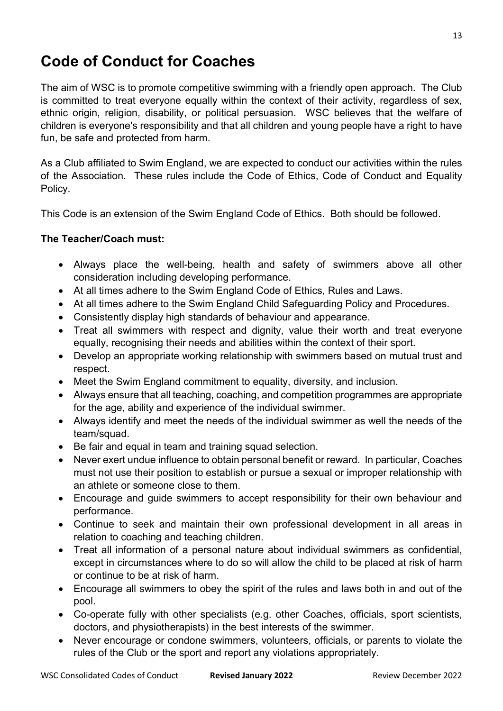# Code of Conduct for Coaches

The aim of WSC is to promote competitive swimming with a friendly open approach. The Club is committed to treat everyone equally within the context of their activity, regardless of sex, ethnic origin, religion, disability, or political persuasion. WSC believes that the welfare of children is everyone's responsibility and that all children and young people have a right to have fun, be safe and protected from harm.

As a Club affiliated to Swim England, we are expected to conduct our activities within the rules of the Association. These rules include the Code of Ethics, Code of Conduct and Equality Policy.

This Code is an extension of the Swim England Code of Ethics. Both should be followed.

### The Teacher/Coach must:

- Always place the well-being, health and safety of swimmers above all other consideration including developing performance.
- At all times adhere to the Swim England Code of Ethics, Rules and Laws.
- At all times adhere to the Swim England Child Safeguarding Policy and Procedures.
- Consistently display high standards of behaviour and appearance.
- Treat all swimmers with respect and dignity, value their worth and treat everyone equally, recognising their needs and abilities within the context of their sport.
- Develop an appropriate working relationship with swimmers based on mutual trust and respect.
- Meet the Swim England commitment to equality, diversity, and inclusion.
- Always ensure that all teaching, coaching, and competition programmes are appropriate for the age, ability and experience of the individual swimmer.
- Always identify and meet the needs of the individual swimmer as well the needs of the team/squad.
- Be fair and equal in team and training squad selection.
- Never exert undue influence to obtain personal benefit or reward. In particular, Coaches must not use their position to establish or pursue a sexual or improper relationship with an athlete or someone close to them.
- Encourage and guide swimmers to accept responsibility for their own behaviour and performance.
- Continue to seek and maintain their own professional development in all areas in relation to coaching and teaching children.
- Treat all information of a personal nature about individual swimmers as confidential, except in circumstances where to do so will allow the child to be placed at risk of harm or continue to be at risk of harm.
- Encourage all swimmers to obey the spirit of the rules and laws both in and out of the pool.
- Co-operate fully with other specialists (e.g. other Coaches, officials, sport scientists, doctors, and physiotherapists) in the best interests of the swimmer.
- Never encourage or condone swimmers, volunteers, officials, or parents to violate the rules of the Club or the sport and report any violations appropriately.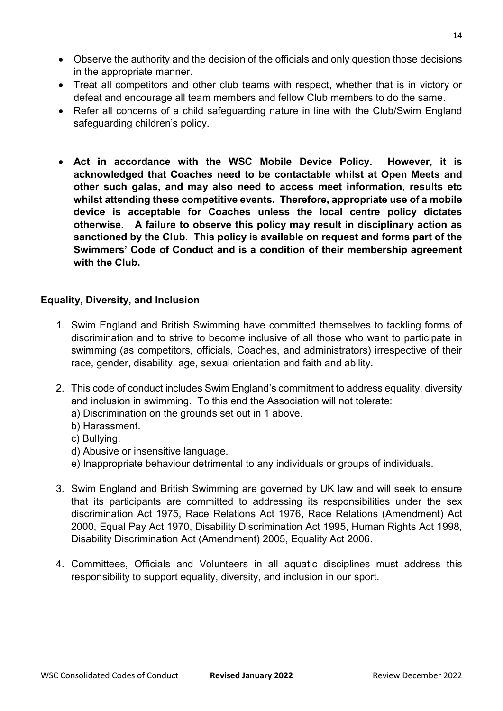- Observe the authority and the decision of the officials and only question those decisions in the appropriate manner.
- Treat all competitors and other club teams with respect, whether that is in victory or defeat and encourage all team members and fellow Club members to do the same.
- Refer all concerns of a child safeguarding nature in line with the Club/Swim England safeguarding children's policy.
- Act in accordance with the WSC Mobile Device Policy. However, it is acknowledged that Coaches need to be contactable whilst at Open Meets and other such galas, and may also need to access meet information, results etc whilst attending these competitive events. Therefore, appropriate use of a mobile device is acceptable for Coaches unless the local centre policy dictates otherwise. A failure to observe this policy may result in disciplinary action as sanctioned by the Club. This policy is available on request and forms part of the Swimmers' Code of Conduct and is a condition of their membership agreement with the Club.

#### Equality, Diversity, and Inclusion

- 1. Swim England and British Swimming have committed themselves to tackling forms of discrimination and to strive to become inclusive of all those who want to participate in swimming (as competitors, officials, Coaches, and administrators) irrespective of their race, gender, disability, age, sexual orientation and faith and ability.
- 2. This code of conduct includes Swim England's commitment to address equality, diversity and inclusion in swimming. To this end the Association will not tolerate:
	- a) Discrimination on the grounds set out in 1 above.
	- b) Harassment.
	- c) Bullying.
	- d) Abusive or insensitive language.
	- e) Inappropriate behaviour detrimental to any individuals or groups of individuals.
- 3. Swim England and British Swimming are governed by UK law and will seek to ensure that its participants are committed to addressing its responsibilities under the sex discrimination Act 1975, Race Relations Act 1976, Race Relations (Amendment) Act 2000, Equal Pay Act 1970, Disability Discrimination Act 1995, Human Rights Act 1998, Disability Discrimination Act (Amendment) 2005, Equality Act 2006.
- 4. Committees, Officials and Volunteers in all aquatic disciplines must address this responsibility to support equality, diversity, and inclusion in our sport.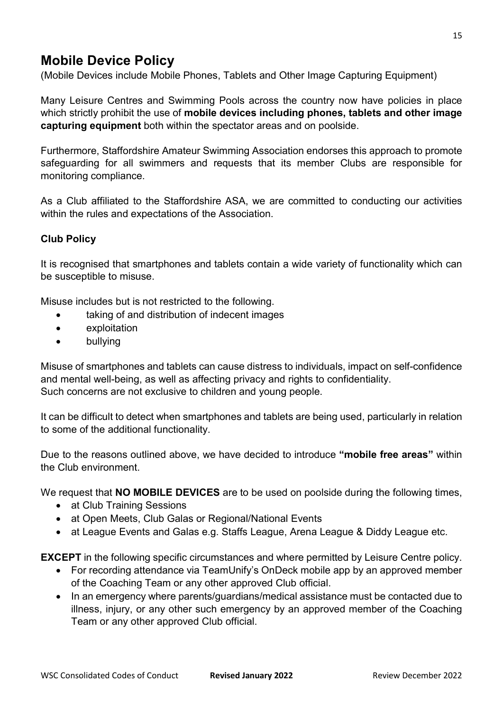### Mobile Device Policy

(Mobile Devices include Mobile Phones, Tablets and Other Image Capturing Equipment)

Many Leisure Centres and Swimming Pools across the country now have policies in place which strictly prohibit the use of mobile devices including phones, tablets and other image capturing equipment both within the spectator areas and on poolside.

Furthermore, Staffordshire Amateur Swimming Association endorses this approach to promote safeguarding for all swimmers and requests that its member Clubs are responsible for monitoring compliance.

As a Club affiliated to the Staffordshire ASA, we are committed to conducting our activities within the rules and expectations of the Association.

### Club Policy

It is recognised that smartphones and tablets contain a wide variety of functionality which can be susceptible to misuse.

Misuse includes but is not restricted to the following.

- taking of and distribution of indecent images
- exploitation
- bullying

Misuse of smartphones and tablets can cause distress to individuals, impact on self-confidence and mental well-being, as well as affecting privacy and rights to confidentiality. Such concerns are not exclusive to children and young people.

It can be difficult to detect when smartphones and tablets are being used, particularly in relation to some of the additional functionality.

Due to the reasons outlined above, we have decided to introduce "mobile free areas" within the Club environment.

We request that **NO MOBILE DEVICES** are to be used on poolside during the following times,

- at Club Training Sessions
- at Open Meets, Club Galas or Regional/National Events
- at League Events and Galas e.g. Staffs League, Arena League & Diddy League etc.

EXCEPT in the following specific circumstances and where permitted by Leisure Centre policy.

- For recording attendance via TeamUnify's OnDeck mobile app by an approved member of the Coaching Team or any other approved Club official.
- In an emergency where parents/guardians/medical assistance must be contacted due to illness, injury, or any other such emergency by an approved member of the Coaching Team or any other approved Club official.